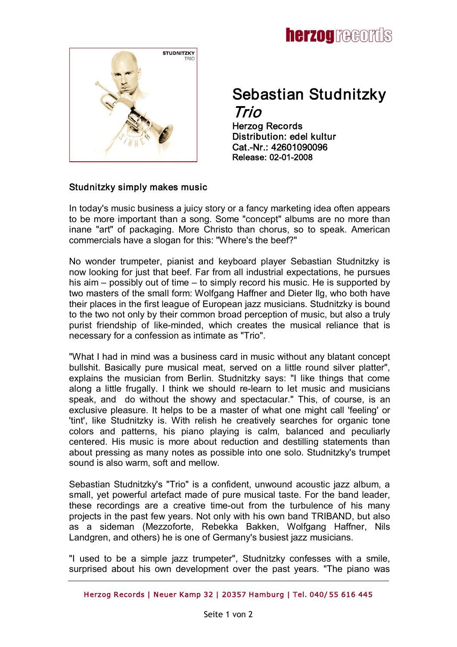

# Sebastian Studnitzky Trio

Herzog Records Distribution: edel kultur Cat.-Nr.: 42601090096 Release: 02-01-2008

## Studnitzky simply makes music

In today's music business a juicy story or a fancy marketing idea often appears to be more important than a song. Some "concept" albums are no more than inane "art" of packaging. More Christo than chorus, so to speak. American commercials have a slogan for this: "Where's the beef?"

No wonder trumpeter, pianist and keyboard player Sebastian Studnitzky is now looking for just that beef. Far from all industrial expectations, he pursues his aim – possibly out of time – to simply record his music. He is supported by two masters of the small form: Wolfgang Haffner and Dieter Ilg, who both have their places in the first league of European jazz musicians. Studnitzky is bound to the two not only by their common broad perception of music, but also a truly purist friendship of like-minded, which creates the musical reliance that is necessary for a confession as intimate as "Trio".

"What I had in mind was a business card in music without any blatant concept bullshit. Basically pure musical meat, served on a little round silver platter", explains the musician from Berlin. Studnitzky says: "I like things that come along a little frugally. I think we should re-learn to let music and musicians speak, and do without the showy and spectacular." This, of course, is an exclusive pleasure. It helps to be a master of what one might call 'feeling' or 'tint', like Studnitzky is. With relish he creatively searches for organic tone colors and patterns, his piano playing is calm, balanced and peculiarly centered. His music is more about reduction and destilling statements than about pressing as many notes as possible into one solo. Studnitzky's trumpet sound is also warm, soft and mellow.

Sebastian Studnitzky's "Trio" is a confident, unwound acoustic jazz album, a small, yet powerful artefact made of pure musical taste. For the band leader, these recordings are a creative time-out from the turbulence of his many projects in the past few years. Not only with his own band TRIBAND, but also as a sideman (Mezzoforte, Rebekka Bakken, Wolfgang Haffner, Nils Landgren, and others) he is one of Germany's busiest jazz musicians.

"I used to be a simple jazz trumpeter", Studnitzky confesses with a smile, surprised about his own development over the past vears. "The piano was